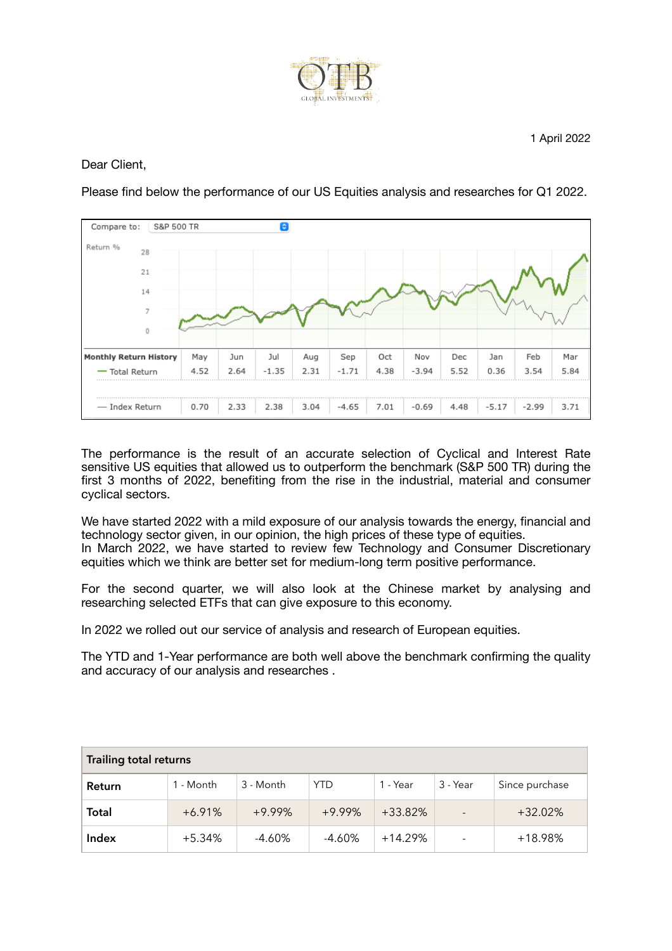

Dear Client,

Please find below the performance of our US Equities analysis and researches for Q1 2022.



The performance is the result of an accurate selection of Cyclical and Interest Rate sensitive US equities that allowed us to outperform the benchmark (S&P 500 TR) during the first 3 months of 2022, benefiting from the rise in the industrial, material and consumer cyclical sectors.

We have started 2022 with a mild exposure of our analysis towards the energy, financial and technology sector given, in our opinion, the high prices of these type of equities. In March 2022, we have started to review few Technology and Consumer Discretionary equities which we think are better set for medium-long term positive performance.

For the second quarter, we will also look at the Chinese market by analysing and researching selected ETFs that can give exposure to this economy.

In 2022 we rolled out our service of analysis and research of European equities.

The YTD and 1-Year performance are both well above the benchmark confirming the quality and accuracy of our analysis and researches .

| Trailing total returns |           |           |           |           |                          |                |
|------------------------|-----------|-----------|-----------|-----------|--------------------------|----------------|
| Return                 | 1 - Month | 3 - Month | YTD       | 1 - Year  | 3 - Year                 | Since purchase |
| <b>Total</b>           | $+6.91%$  | $+9.99%$  | $+9.99%$  | $+33.82%$ | $\overline{\phantom{a}}$ | $+32.02%$      |
| Index                  | $+5.34%$  | $-4.60\%$ | $-4.60\%$ | $+14.29%$ |                          | +18.98%        |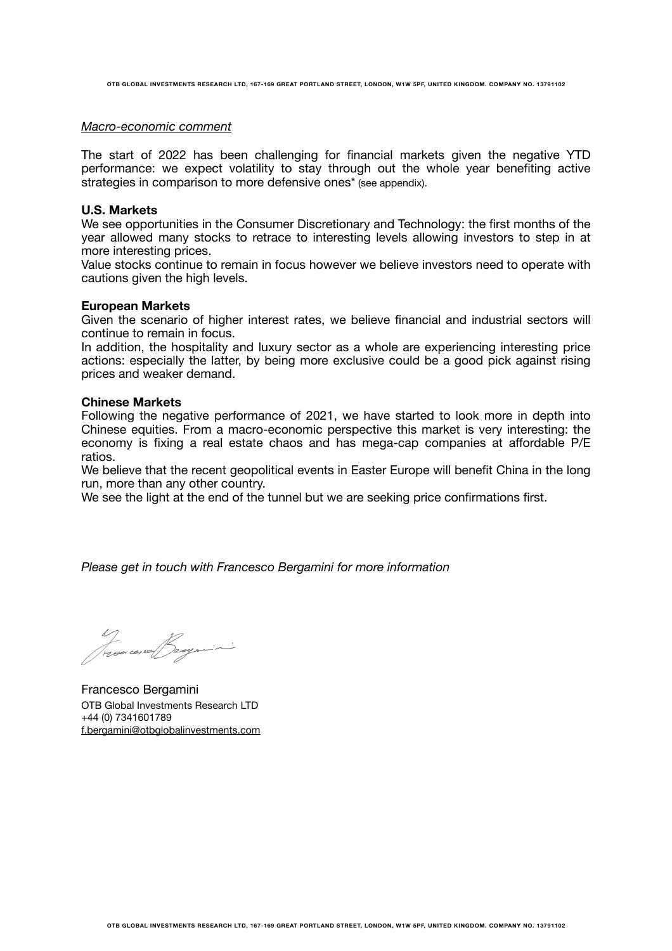**OTB GLOBAL INVESTMENTS RESEARCH LTD, 167-169 GREAT PORTLAND STREET, LONDON, W1W 5PF, UNITED KINGDOM. COMPANY NO. 13791102** 

### *Macro-economic comment*

The start of 2022 has been challenging for financial markets given the negative YTD performance: we expect volatility to stay through out the whole year benefiting active strategies in comparison to more defensive ones<sup>\*</sup> (see appendix).

### **U.S. Markets**

We see opportunities in the Consumer Discretionary and Technology: the first months of the year allowed many stocks to retrace to interesting levels allowing investors to step in at more interesting prices.

Value stocks continue to remain in focus however we believe investors need to operate with cautions given the high levels.

### **European Markets**

Given the scenario of higher interest rates, we believe financial and industrial sectors will continue to remain in focus.

In addition, the hospitality and luxury sector as a whole are experiencing interesting price actions: especially the latter, by being more exclusive could be a good pick against rising prices and weaker demand.

### **Chinese Markets**

Following the negative performance of 2021, we have started to look more in depth into Chinese equities. From a macro-economic perspective this market is very interesting: the economy is fixing a real estate chaos and has mega-cap companies at affordable P/E ratios.

We believe that the recent geopolitical events in Easter Europe will benefit China in the long run, more than any other country.

We see the light at the end of the tunnel but we are seeking price confirmations first.

*Please get in touch with Francesco Bergamini for more information* 

1)<br>Trouces of Jeagre

Francesco Bergamini OTB Global Investments Research LTD +44 (0) 7341601789 [f.bergamini@otbglobalinvestments.com](mailto:f.bergamini@otbglobalinvestments.com)